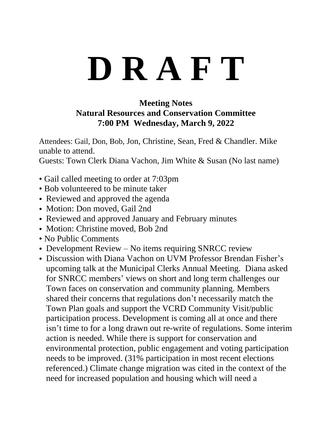## **D R A F T**

## **Meeting Notes Natural Resources and Conservation Committee 7:00 PM Wednesday, March 9, 2022**

Attendees: Gail, Don, Bob, Jon, Christine, Sean, Fred & Chandler. Mike unable to attend.

Guests: Town Clerk Diana Vachon, Jim White & Susan (No last name)

- Gail called meeting to order at 7:03pm
- Bob volunteered to be minute taker
- Reviewed and approved the agenda
- Motion: Don moved, Gail 2nd
- Reviewed and approved January and February minutes
- Motion: Christine moved, Bob 2nd
- No Public Comments
- Development Review No items requiring SNRCC review
- Discussion with Diana Vachon on UVM Professor Brendan Fisher's upcoming talk at the Municipal Clerks Annual Meeting. Diana asked for SNRCC members' views on short and long term challenges our Town faces on conservation and community planning. Members shared their concerns that regulations don't necessarily match the Town Plan goals and support the VCRD Community Visit/public participation process. Development is coming all at once and there isn't time to for a long drawn out re-write of regulations. Some interim action is needed. While there is support for conservation and environmental protection, public engagement and voting participation needs to be improved. (31% participation in most recent elections referenced.) Climate change migration was cited in the context of the need for increased population and housing which will need a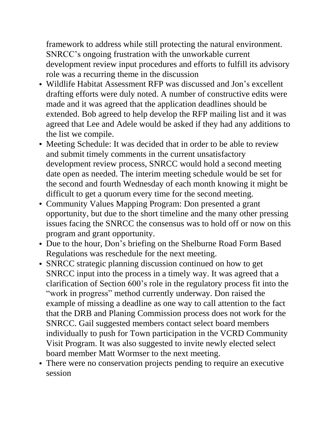framework to address while still protecting the natural environment. SNRCC's ongoing frustration with the unworkable current development review input procedures and efforts to fulfill its advisory role was a recurring theme in the discussion

- Wildlife Habitat Assessment RFP was discussed and Jon's excellent drafting efforts were duly noted. A number of constructive edits were made and it was agreed that the application deadlines should be extended. Bob agreed to help develop the RFP mailing list and it was agreed that Lee and Adele would be asked if they had any additions to the list we compile.
- Meeting Schedule: It was decided that in order to be able to review and submit timely comments in the current unsatisfactory development review process, SNRCC would hold a second meeting date open as needed. The interim meeting schedule would be set for the second and fourth Wednesday of each month knowing it might be difficult to get a quorum every time for the second meeting.
- Community Values Mapping Program: Don presented a grant opportunity, but due to the short timeline and the many other pressing issues facing the SNRCC the consensus was to hold off or now on this program and grant opportunity.
- Due to the hour, Don's briefing on the Shelburne Road Form Based Regulations was reschedule for the next meeting.
- SNRCC strategic planning discussion continued on how to get SNRCC input into the process in a timely way. It was agreed that a clarification of Section 600's role in the regulatory process fit into the "work in progress" method currently underway. Don raised the example of missing a deadline as one way to call attention to the fact that the DRB and Planing Commission process does not work for the SNRCC. Gail suggested members contact select board members individually to push for Town participation in the VCRD Community Visit Program. It was also suggested to invite newly elected select board member Matt Wormser to the next meeting.
- There were no conservation projects pending to require an executive session